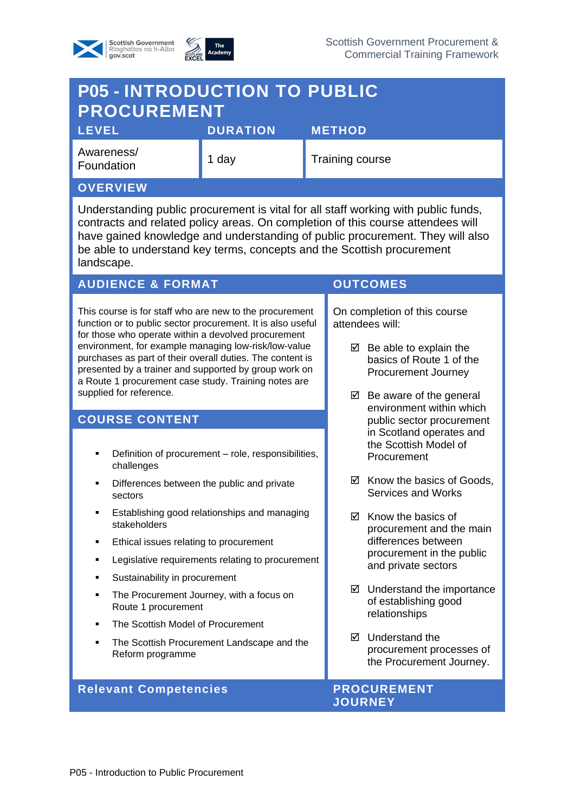



## **P05 - INTRODUCTION TO PUBLIC PROCUREMENT LEVEL DURATION METHOD**

| Awareness/<br>Foundation | day | <b>Training course</b> |
|--------------------------|-----|------------------------|
| <b>AVEDVIEW</b>          |     |                        |

#### **OVERVIEW**

Understanding public procurement is vital for all staff working with public funds, contracts and related policy areas. On completion of this course attendees will have gained knowledge and understanding of public procurement. They will also be able to understand key terms, concepts and the Scottish procurement landscape.

### **AUDIENCE & FORMAT OUTCOMES**

This course is for staff who are new to the procurement function or to public sector procurement. It is also useful for those who operate within a devolved procurement environment, for example managing low-risk/low-value purchases as part of their overall duties. The content is presented by a trainer and supported by group work on a Route 1 procurement case study. Training notes are supplied for reference.

### **COURSE CONTENT**

- Definition of procurement role, responsibilities, challenges
- Differences between the public and private sectors
- Establishing good relationships and managing stakeholders
- **Ethical issues relating to procurement**
- Legislative requirements relating to procurement
- Sustainability in procurement
- The Procurement Journey, with a focus on Route 1 procurement
- The Scottish Model of Procurement
- The Scottish Procurement Landscape and the Reform programme

#### **Relevant Competencies And Allen PROCUREMENT**

On completion of this course attendees will:

- $\boxtimes$  Be able to explain the basics of Route 1 of the Procurement Journey
- $\boxtimes$  Be aware of the general environment within which public sector procurement in Scotland operates and the Scottish Model of Procurement
- $\boxtimes$  Know the basics of Goods, Services and Works
- $\boxtimes$  Know the basics of procurement and the main differences between procurement in the public and private sectors
- $\boxtimes$  Understand the importance of establishing good relationships
- $\nabla$  Understand the procurement processes of the Procurement Journey.

# **JOURNEY**